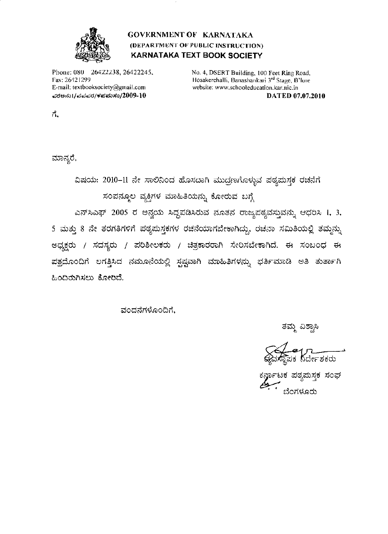

## **GOVERNMENT OF KARNATAKA** (DEPARTMENT OF PUBLIC INSTRUCTION) **KARNATAKA TEXT BOOK SOCIETY**

Phone: 080 26422238, 26422245, Fax: 26421299 E-mail: textbooksociety@gmail.com ವರಅನು $1$ /ವಪಪರ/ಕಪಮಸಂ/ $2009$ - $10\,$ 

No. 4, DSERT Building, 100 Feet Ring Road, Hosakerehalli, Banashankari 3rd Stage, B'lore website: www.schooleducation.kar.nic.in DATED 07.07.2010

ಗೆ.

ಮಾನ್ಯರೆ,

ವಿಷಯ: 2010-11 ನೇ ಸಾಲಿನಿಂದ ಹೊಸದಾಗಿ ಮುದ್ರಣಗೊಳ್ಳುವ ಪಠ್ಯಮಸ್ಥಕ ರಚನೆಗೆ ಸಂಪನ್ಮೂಲ ವ್ಯಕ್ತಿಗಳ ಮಾಹಿತಿಯನ್ನು ಕೋರುವ ಬಗ್ಗೆ

ಎನ್ಸ್ಎಫ್ 2005 ರ ಅನ್ವಯ ಸಿದ್ಧಪಡಿಸಿರುವ ನೂತನ ರಾಜ್ಯಪಠ್ಯವಸ್ತುವನ್ನು ಆಧರಿಸಿ 1, 3, 5 ಮತ್ತು 8 ನೇ ತರಗತಿಗಳಿಗೆ ಪಠ್ಯಮಸ್ಥಕಗಳ ರಚನೆಯಾಗಬೇಕಾಗಿದ್ದು, ರಚನಾ ಸಮಿತಿಯಲ್ಲಿ ತಮ್ಮನ್ನು ಅಧ್ಯಕ್ಷರು / ಸದಸ್ಯರು / ಪರಿಶೀಲಕರು / ಚಿತ್ರಕಾರರಾಗಿ ಸೇರಿಸಬೇಕಾಗಿದೆ. ಈ ಸಂಬಂಧ ಈ ಪತ್ರದೊಂದಿಗೆ ಲಗತ್ತಿಸಿದ ನಮೂನೆಯಲ್ಲಿ ಸ್ಪಷ್ಟವಾಗಿ ಮಾಹಿತಿಗಳನ್ನು ಭರ್ತಿಮಾಡಿ ಅತಿ ತುರ್ತಾಗಿ ಹಿಂದಿರುಗಿಸಲು ಕೋರಿದೆ.

ವಂದನೆಗಳೊಂದಿಗೆ.

ತಮ್ಮ ವಿಶ್ವಾಸಿ

ಕ<mark>ರ್ನಾ</mark>ಟಕ ಪಠ್ಯಮಸ್ತಕ ಸಂಘ ಬೆಂಗಳೂರು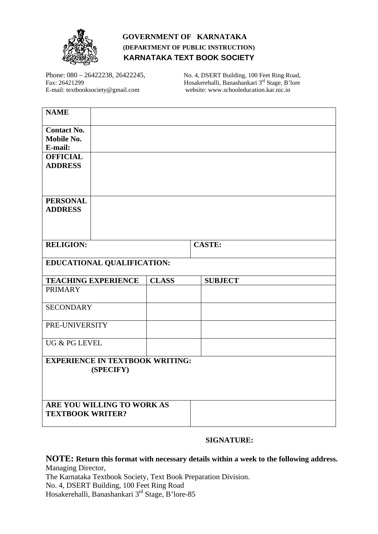

## **GOVERNMENT OF KARNATAKA (DEPARTMENT OF PUBLIC INSTRUCTION) KARNATAKA TEXT BOOK SOCIETY**

Phone: 080 – 26422238, 26422245, No. 4, DSERT Building, 100 Feet Ring Road,<br>Fax: 26421299 Hosakerehalli, Banashankari 3<sup>rd</sup> Stage, B'lore Hosakerehalli, Banashankari 3<sup>rd</sup> Stage, B'lore E-mail: textbooksociety@gmail.com website: www.schooleducation.kar.nic.in

| <b>NAME</b>                                         |              |                |  |  |
|-----------------------------------------------------|--------------|----------------|--|--|
| <b>Contact No.</b><br>Mobile No.<br>E-mail:         |              |                |  |  |
| <b>OFFICIAL</b><br><b>ADDRESS</b>                   |              |                |  |  |
| <b>PERSONAL</b><br><b>ADDRESS</b>                   |              |                |  |  |
| <b>RELIGION:</b>                                    |              | <b>CASTE:</b>  |  |  |
| EDUCATIONAL QUALIFICATION:                          |              |                |  |  |
| <b>TEACHING EXPERIENCE</b>                          | <b>CLASS</b> | <b>SUBJECT</b> |  |  |
| <b>PRIMARY</b>                                      |              |                |  |  |
| <b>SECONDARY</b>                                    |              |                |  |  |
| PRE-UNIVERSITY                                      |              |                |  |  |
| UG & PG LEVEL                                       |              |                |  |  |
| <b>EXPERIENCE IN TEXTBOOK WRITING:</b><br>(SPECIFY) |              |                |  |  |
|                                                     |              |                |  |  |

## **SIGNATURE:**

**NOTE: Return this format with necessary details within a week to the following address.**  Managing Director,

The Karnataka Textbook Society, Text Book Preparation Division. No. 4, DSERT Building, 100 Feet Ring Road Hosakerehalli, Banashankari 3<sup>rd</sup> Stage, B'lore-85